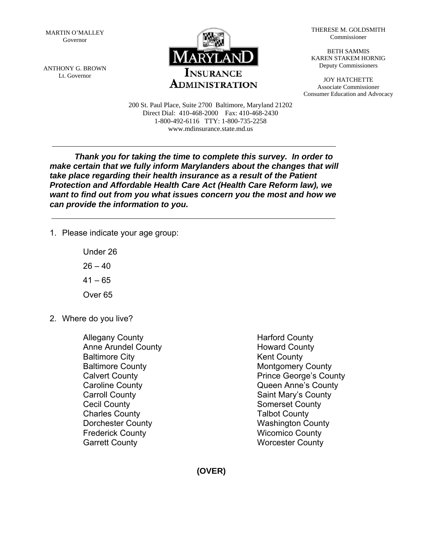MARTIN O'MALLEY Governor

ANTHONY G. BROWN Lt. Governor



THERESE M. GOLDSMITH Commissioner

BETH SAMMIS KAREN STAKEM HORNIG Deputy Commissioners

JOY HATCHETTE Associate Commissioner Consumer Education and Advocacy

200 St. Paul Place, Suite 2700 Baltimore, Maryland 21202 Direct Dial: 410-468-2000 Fax: 410-468-2430 1-800-492-6116 TTY: 1-800-735-2258 www.mdinsurance.state.md.us

*Thank you for taking the time to complete this survey. In order to make certain that we fully inform Marylanders about the changes that will take place regarding their health insurance as a result of the Patient Protection and Affordable Health Care Act (Health Care Reform law), we want to find out from you what issues concern you the most and how we can provide the information to you.* 

1. Please indicate your age group:

 Under 26  $26 - 40$  $41 - 65$ Over 65

2. Where do you live?

 Allegany County Anne Arundel County Baltimore City Baltimore County Calvert County Caroline County Carroll County Cecil County Charles County Dorchester County Frederick County Garrett County

 Harford County Howard County Kent County Montgomery County Prince George's County Queen Anne's County Saint Mary's County Somerset County Talbot County Washington County Wicomico County Worcester County

**(OVER)**